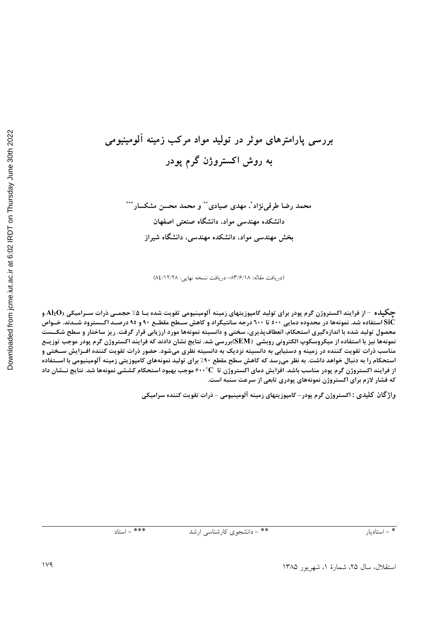Downloaded from jcme.iut.ac.ir at 6:02 IRDT on Thursday June 30th 2022

# بررسی پارامترهای موثر در تولید مواد مرکب زمینه آلومینیومی به روش اکستروژن گرم پودر

محمد رضا طرقي نژاد ً، مهدي صيادي په و محمد محسن مشکسار په پ دانشکده مهندسی مواد، دانشگاه صنعتی اصفهان بخش مهندسی مواد، دانشکده مهندسی، دانشگاه شیراز

(دريافت مقاله: ٨٣/٦/١٨- دريافت نسخه نهايي: ٨٤/١٢/٢٨)

جگیلده  $-$ از فرایند اکستروژن گرم پودر برای تولید کامپوزیتهای زمینه آلومینیومی تقویت شده بـا ۰/۵ حجمــی ذرات ســرامیکی  $\rm{O}_3$ و SiC استفاده شد. نمونهها در محدوده دمایی ۵۰۰ تا ٦۰۰ درجه سانتیگراد و کاهش ســطح مقطــع ۹۰ و ۹۰ درصــد اکــسترود شــدند. خــواص محصول تولید شده با اندازهگیری استحکام، انعطافپذیری، سختی و دانسیته نمونهها مورد ارزیابی قرار گرفت. ریز ساختار و سطح شکــست نمونهها نیز با استفاده از میکروسکوپ الکترونی روبشی (SEM)بررسی شد. نتایج نشان دادند که فرایند اکستروژن گرم پودر موجب توزیــع مناسب ذرات تقویت کننده در زمینه و دستیابی به دانسیته نزدیک به دانسیته نظری میشود. حضور ذرات تقویت کننده افــزایش ســختی و استحکام را به دنبال خواهد داشت. به نظر میرسد که کاهش سطح مقطع ۹۰٪ برای تولید نمونههای کامپوزیتی زمینه آلومینیومی با اســتفاده از فرایند اکستروژن گرم پودر مناسب باشد. افزایش دمای اکستروژن تا ۴۰۰°C موجب بهبود استحکام کششی نمونهها شد. نتایج نــشان داد که فشار لازم برای اکستروژن نمونههای پودری تابعی از سرعت سنبه است.

واژ گان کلیدی : اکستروژن گرم پودر – کامپوزیتهای زمینه آلومینیومی – ذرات تقویت کننده سرامیکی

\*\* - دانشجوی کارشناسی ارشد

 $\frac{1}{1 + x^2 - 1}$ استاد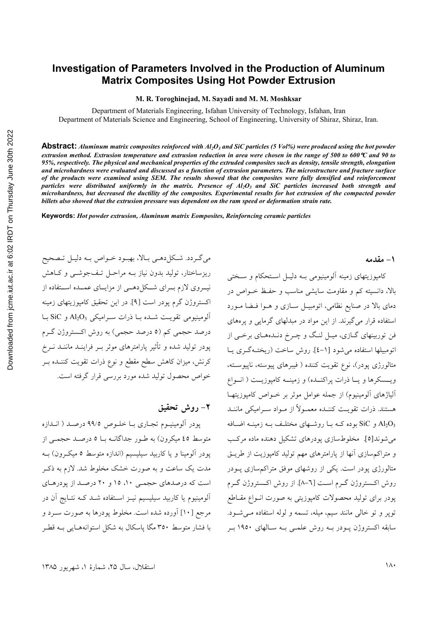### **Investigation of Parameters Involved in the Production of Aluminum Matrix Composites Using Hot Powder Extrusion**

**M. R. Toroghinejad, M. Sayadi and M. M. Moshksar** 

Department of Materials Engineering, Isfahan University of Technology, Isfahan, Iran Department of Materials Science and Engineering, School of Engineering, University of Shiraz, Shiraz, Iran.

**Abstract:** Aluminum matrix composites reinforced with Al<sub>2</sub>O<sub>3</sub> and SiC particles (5 Vol%) were produced using the hot powder *extrusion method. Extrusion temperature and extrusion reduction in area were chosen in the range of 500 to 600*°*C and 90 to 95%, respectively. The physical and mechanical properties of the extruded composites such as density, tensile strength, elongation and microhardness were evaluated and discussed as a function of extrusion parameters. The microstructure and fracture surface of the products were examined using SEM. The results showed that the composites were fully densified and reinforcement*  particles were distributed uniformly in the matrix. Presence of  $Al_2O_3$  and SiC particles increased both strength and *microhardness, but decreased the ductility of the composites. Experimental results for hot extrusion of the compacted powder billets also showed that the extrusion pressure was dependent on the ram speed or deformation strain rate.* 

**Keywords:** *Hot powder extrusion, Aluminum matrix Eomposites, Reinforncing ceramic particles* 

مي گردد. شكل دهمي بالا، بهبود خـواص بـه دليـل تـصحيح ریزساختار، تولید بدون نیاز بــه مراحـل تـفجوشــی و كــاهش نیــروی لازم بــرای شــکل(هــی از مزایــای عمــده اســتفاده از اکستروژن گرم پودر است [۹]. در این تحقیق کامپوزیتهای زمینه  $\rm SiC$  آلومینیومی تقویت شده با ذرات سرامیکی  $\rm Al_2O_3$  و آبا درصد حجمی کم (٥ درصد حجمی) به روش اکستروژن گـرم پودر تولید شده و تأثیر پارامترهای موثر بـر فراینــد ماننــد نــرخ كرنش، ميزان كاهش سطح مقطع و نوع ذرات تقويت كننـده بـر خواص محصول تولید شده مورد بررسی قرار گرفته است.

#### **٢**- روش تحقيق

پودر آلومينيـوم تجـاري بــا خلــوص ٩٩/٥ درصــد ( انــدازه متوسط ٤٥ ميكرون) به طـور جداگانــه بــا ٥ درصــد حجمــي از پودر آلومینا و یا کاربید سیلیسیم (اندازه متوسط ٥ میکرون) بـه مدت یک ساعت و به صورت خشک مخلوط شد. لازم به ذکـر است که درصدهای حجمی ۱۰، ۱۵ و ۲۰ درصد از پودرهای آلومینیوم یا کاربید سیلیسیم نیـز اسـتفاده شـد کـه نتـایج آن در مرجع [١٠] أورده شده است. مخلوط پودرها به صورت سـرد و با فشار متوسط ۳۵۰ مگا پاسکال به شکل استوانههـایی بــه قطـر

#### **1- مقدمه**

کامپوزیتهای زمینه آلومینیومی بـه دلیـل اسـتحکام و سـختی بالا، دانسیته کم و مقاومت سایشی مناسب و حفـظ خــواص در دمای بالا در صنایع نظامی، اتومبیـل سـازی و هـوا فـضا مـورد استفاده قرار می گیرند. از این مواد در مبدلهای گرمایی و پرههای فن توربینهای گــازی، میــل لنـگ و چــرخ دنــدههــای برخــی از اتومبيلها استفاده مي شود [١-٤]. روش ساخت (ريختـهگـري يـا متالورژی پودر)، نوع تقویت کننده ( فیبرهای پیوسته، ناپیوسته، ويسسكرها ويا ذرات پراكنـده) و زمينــه كامپوزيــت ( انــواع آلیاژهای آلومینیوم) از جمله عوامل موثر بر خـواص کامپوزیتهـا هستند. ذرات تقويـت كننـده معمــولاً از مــواد ســراميكي ماننــد و SiC بوده کـه بــا روشــهای مختلـف بــه زمينــه اضــافه  $\rm{Al_2O_3}$ می شوند[٥]. مخلوطسازی یودرهای تشکیل دهنده ماده مرکب و متراكم سازى أنها از پارامترهاى مهم توليد كامپوزيت از طريــق متالورژی پودر است. یکی از روشهای موفق متراکم سازی پــودر روش اكـستروژن گـرم اسـت [٦-٨]. از روش اكـستروژن گـرم یودر برای تولید محصولات کامپوزیتی به صورت انــواع مقــاطع تویر و تو خالبی مانند سیم، میله، تسمه و لوله استفاده مے شود. سابقه اکستروژن پـودر بـه روش علمـی بـه سـالهای ۱۹۵۰ بـر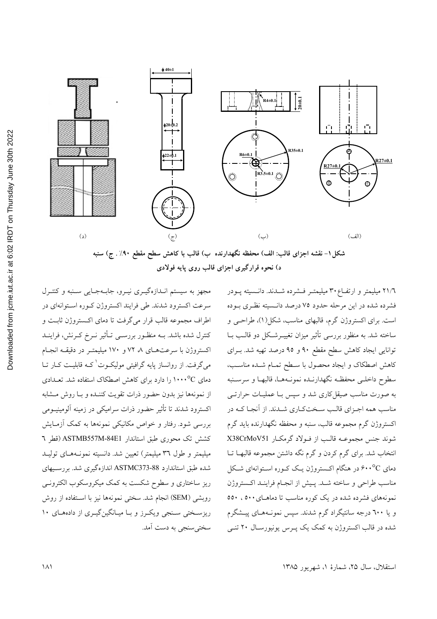



مجهز به سیستم انـدازهگیـری نیـرو، جابـهجـایی سـنبه و کنتـرل سرعت اکسترود شدند. طی فرایند اکستروژن کـوره اسـتوانهای در اطراف مجموعه قالب قرار مي گرفت تا دماي اكستروژن ثابت و کنترل شده باشد. بــه منظـور بررســی تــأثیر نــرخ کــرنش، فراینــد اکستروژن با سرعتهای ۸ ۷۲ و ۱۷۰ میلیمتـر در دقیقـه انجـام میگرفت. از روانساز پایه گرافیتی مولیکـوت<sup>\</sup>کـه قابلیــت کــار تــا دمای ۲۰۰۰°C را دارد برای کاهش اصطکاک استفاده شد. تعـدادی از نمونهها نیز بدون حضور ذرات تقویت کننـده و بـا روش مـشابه اکسترود شدند تا تأثیر حضور ذرات سرامیکی در زمینه آلومینیــومی بررسی شود. رفتار و خواص مکانیکی نمونهها به کمک آزمـایش كشش تك محوري طبق استاندار ASTMB557M-84E1 (قطر ٦ میلیمتر و طول ۳٦ میلیمتر) تعیین شد. دانسیته نمونـههـای تولیـد شده طبق استاندارد ASTMC373-88 اندازهگیری شد. بررسیهای ریز ساختاری و سطوح شکست به کمک میکروسکوب الکترونـی روبشي (SEM) انجام شد. سختي نمونهها نيز با استفاده از روش ریزسختی سنجی ویکرز و با میانگینگیری از دادههای ۱۰ سختی سنجی به دست آمد.

٢١/٦ میلیمتر و ارتفـاع ٣٠ میلیمتــر فـــشرده شـــدند. دانــسیته پــودر فشرده شده در این مرحله حدود ۷۵ درصد دانسیته نظـری بـوده است. برای اکستروژن گرم، قالبهای مناسب، شکل(۱)، طراحـی و ساخته شد. به منظور بررسی تأثیر میزان تغییــرشــکل دو قالــب بــا توانایی ایجاد کاهش سطح مقطع ۹۰ و ۹۵ درصد تهیه شد. بـرای كاهش اصطكاك و ايجاد محصول با سـطح تمـام شـده مناسـب، سطوح داخلـي محفظـه نگهدارنـده نمونـههـا، قالبهـا و سرسـنبه به صورت مناسب صیقل کاری شد و سپس بـا عملیــات حرارتــی مناسب همه اجـزاي قالـب سـختكـاري شـدند. از آنجـا كـه در اکستروژن گرم مجموعه قالب، سنبه و محفظه نگهدارنده باید گرم شوند جنس مجموعــه قالـب از فــولاد گرمكــار X38CrMoV51 انتخاب شد. برای گرم کردن و گرم نگه داشتن مجموعه قالبهـا تــا دمای ۶۰۰°C در هنگام اکستروژن یک کـوره اسـتوانهای شـکل مناسب طراحي و ساخته شـد. پـيش از انجـام فراينـد اكـستروژن نمونههای فشرده شده در یک کوره مناسب تا دماهـای ۵۰۰ ، ۵۰۰ و یا ٦٠٠ درجه سانتیگراد گرم شدند. سپس نمونـههـای پیــشگرم شده در قالب اکستروژن به کمک یک پـرس یونیورسـال ۲۰ تنـی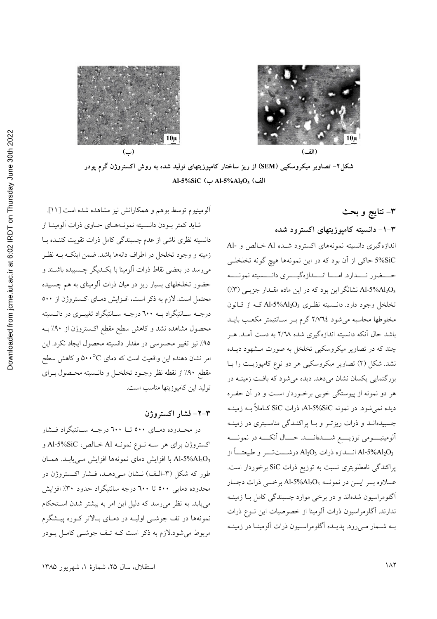

شکل۲- تصاویر میکروسکپی (SEM) از ریز ساختار کامپوزیتهای تولید شده به روش اکستروژن گرم پودر Al-5%SiC (به Al-5%Al2O3 (1

٣– نتايج و بحث

۰۳–۱– دانسیته کامپوزیتهای اکسترود شده

اندازه گیری دانسیته نمونههای اکسترود شـده Al خـالص و -Al 5%SiC حاکی از آن بود که در این نمونهها هیچ گونه تخلخلـی حــــضور نــــدارد. امـــــا انــــدازهگيـــــري دانـــــسيته نمونـــــه نشانگر این بود که در این ماده مقـدار جزیـبی (۳٪) (۳٪) تخلخل وجود دارد. دانــسيته نظـري Al-5%Al2O3 كــه از قــانون مخلوطها محاسبه می شود ٢/٧٦٤ گرم بـر سـانتيمتر مكعـب بايـد باشد حال اّنکه دانسیته اندازهگیری شده ۲/۳۸ به دست اّمــد. هــر چند که در تصاویر میکروسکیی تخلخل به صورت مشهود دیـده نشد. شکل (۲) تصاویر میکروسکپی هر دو نوع کامپوزیـت را بــا بزرگنمایی یکسان نشان میدهد. دیده میشود که بافت زمینـه در هر دو نمونه از پیوستگی خوبی برخـوردار اسـت و در آن حفـره دیده نمیشود. در نمونه Al-5%SiC، ذرات SiC کـاملاً بــه زمینــه چسبیدهانـد و ذرات ریزتـر و بـا پراکنـدگی مناسـبتری در زمینـه آلومينيومي توزيــــع شـــــدهانــــد. حـــال آنكــــه در نمونــــه انسدازه ذرات  $\mathrm{Al}_2\mathrm{O}_3$  درشــــتتـــر و طبيعتـــاً از Al-5% $\mathrm{Al}_2\mathrm{O}_3$ پراکندگی نامطلوبتری نسبت به توزیع ذرات SiC برخوردار است. عــلاوه بــر ايـــن در نمونــه Al-5%Al2O3 برخـــى ذرات دچــار آگلومراسیون شدهاند و در برخی موارد چسبندگی کامل بـا زمینــه ندارند. آگلومراسیون ذرات آلومینا از خصوصیات این نــوع ذرات بـه شـمار مـىرود. پديـده أگلومراسـيون ذرات ألومينـا در زمينـه

آلومینیوم توسط بوهم و همکارانش نیز مشاهده شده است [۱۱]. شاید کمتر بــودن دانــسیته نمونــههــای حــاوی ذرات آلومینــا از دانسیته نظری ناشی از عدم چسبندگی کامل ذرات تقویت کننــده بــا زمینه و وجود تخلخل در اطراف دانهها باشد. ضمن اینکـه بــه نظــر میرسد در بعضی نقاط ذرات آلومینا با یک دیگر چـسبیده باشـند و حضور تخلخلهای بسیار ریز در میان ذرات آلومینای به هم چسبیده محتمل است. لازم به ذكر است، افـزايش دمـاي اكـستروژن از ٥٠٠ درجـه سـانتيگراد بــه ٦٠٠ درجــه ســانتيگراد تغييــرى در دانــسيته محصول مشاهده نشد و کاهش سطح مقطع اکستروژن از ۹۰٪ بـه ٩٥٪ نيز تغيير محسوسي در مقدار دانسيته محصول ايجاد نكرد. اين امر نشان دهنده این واقعیت است که دمای ۵۰۰<sup>۰</sup>C و کاهش سطح مقطع ۹۰٪ از نقطه نظر وجـود تخلخـل و دانـسيته محـصول بـراي توليد اين كاميوزيتها مناسب است.

#### ٣-٢- فشار اكستروژن

در محـدوده دمـاي ٥٠٠ تــا ٦٠٠ درجــه ســانتيگراد فــشار اکستروژن برای هر سـه نـوع نمونـه Al خـالص، Al-5%SiC و Al-5%Al2O3 با افزايش دماي نمونهها افزايش مـييابـد. همـان طور که شکل (۳-الف) نـشان مـیدهـد، فـشار اکـستروژن در محدوده دمایی ٥٠٠ تا ٦٠٠ درجه سانتیگراد حدود ٣٠٪ افزایش می یابد. به نظر می رسد که دلیل این امر به بیشتر شدن استحکام نمونهها در تف جوشبي اوليـه در دمـاي بـالاتر كــوره پيــشگرم مربوط مي شود.لازم به ذكر است كـه تـف جوشــي كامـل پــودر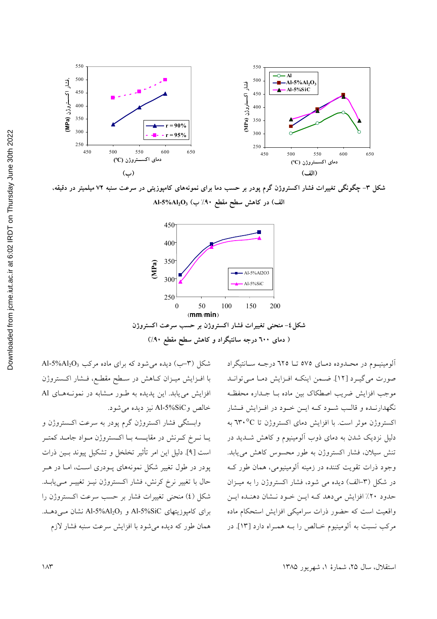

شکل ۳– چگونگی تغییرات فشار اکستروژن گرم پودر بر حسب دما برای نمونههای کامپوزیتی در سرعت سنبه ۷۲ میلمیتر در دقیقه، Al-5%Al2O3 (الف) در کاهش سطح مقطع ۹۰٪ ب



شکل (۳-ب) دیده میشود که برای ماده مرکب Al-5%Al<sub>2</sub>O<sub>3</sub> با افــزایش میــزان کــاهش در ســطح مقطــع، فــشار اکــستروژن افزایش می یابد. این پدیده به طـور مـشابه در نمونـههـای Al خالص وAl-5%SiC نيز ديده مي شود.

وابستگی فشار اکستروژن گرم پودر به سرعت اکستروژن و یــا نــرخ کــرنش در مقایــسه بــا اکــستروژن مــواد جامــد کمتــر است [۹]. دليل اين امر تأثير تخلخل و تشكيل پيوند بـين ذرات پودر در طول تغییر شکل نمونههای پــودری اســت، امــا در هــر حال با تغییر نرخ کرنش، فشار اکستروژن نیـز تغییـر مـیLیابـد. شکل (٤) منحنی تغییرات فشار بر حسب سرعت اکستروژن را برای کامپوزیتهای Al-5%SiC و Al-5%Al2O3 نشان مے دہـد. همان طور که دیده می شود با افزایش سرعت سنبه فشار لازم

آلومینیـوم در محـدوده دمـای ٥٧٥ تــا ٦٢٥ درجـه ســانتیگراد صورت می گیرد [۱۲]. ضمن اینکه افزایش دما میتواند موجب افزايش ضريب اصطكاك بين ماده بـا جــداره محفظـه نگهدارنـده و قالـب شـود كـه ايـن خـود در افـزايش فـشار اکستروژن موثر است. با افزایش دمای اکستروژن تا ٣٠°C به دلیل نزدیک شدن به دمای ذوب آلومینیوم و کاهش شــدید در تنش سیلان، فشار اکستروژن به طور محسوس کاهش می یابد. وجود ذرات تقویت کننده در زمینه آلومینیومی، همان طور ک در شکل (۳–الف) دیده می شود، فشار اکستروژن را به میـزان حدود ٢٠٪ افزايش مي دهد كـه ايــن خـود نــشان دهنـده ايــن واقعیت است که حضور ذرات سرامیکی افزایش استحکام ماده مرکب نسبت به آلومینیوم خـالص را بــه همـراه دارد [۱۳]. در

استقلال، سال ۲۵، شمارهٔ ۱، شهریور ۱۳۸۵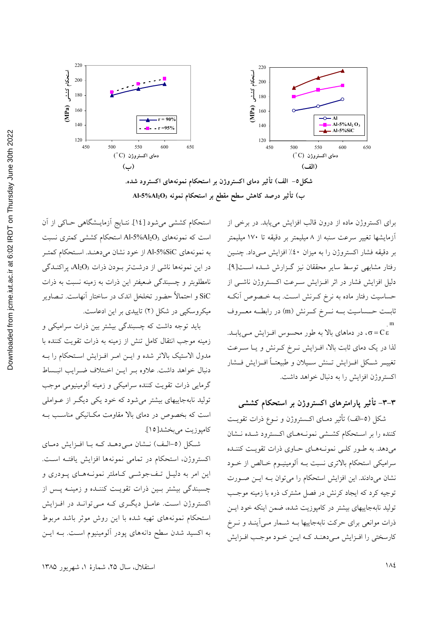



برای اکستروژن ماده از درون قالب افزایش می یابد. در برخی از آزمایشها تغییر سرعت سنبه از ۸ میلیمتر بر دقیقه تا ۱۷۰ میلیمتر بر دقیقه فشار اکستروژن را به میزان ٤٠٪ افزایش مـیداد. چنـین رفتار مشابهي توسط ساير محققان نيز گزارش شده است[۹]. دلیل افزایش فشار در اثر افـزایش سـرعت اکـستروژن ناشـی از حساسیت رفتار ماده به نرخ کـرنش اسـت. بــه خـصوص آنکـه ثابــت حــساسيت بـــه نـــرخ كــرنش (m) در رابطـــه معـــروف .<br>σ=Cε، در دماهای بالا به طور محسوس افـزایش مـیLیابـد. لذا در یک دمای ثابت بالا، افزایش نـرخ کـرنش و یـا سـرعت تغييــر شــكل افــزايش تــنش ســيلان و طبيعتــأ افــزايش فــشار اکستروژن افزایش را به دنبال خواهد داشت.

## ۳-۳– تأثیر پارامترهای اکستروژن بر استحکام کششی

شکل (٥-الف) تأثیر دمـای اکـستروژن و نــوع ذرات تقویــت كننده را بر استحكام كششى نمونههاى اكسترود شده نشان میدهد. به طـور کلـی نمونـههـای حـاوی ذرات تقویـت کننـده سرامیکی استحکام بالاتری نسبت بـه اَلومینیـوم خـالص از خـود نشان می دادند. این افزایش استحکام را می توان بـه ایـن صـورت توجیه کرد که ایجاد کرنش در فصل مشترک ذره با زمینه موجب تولید نابهجاییهای بیشتر در کامپوزیت شده، ضمن اینکه خود ایــن ذرات موانعی برای حرکت نابهجاییها بـه شـمار مـی]ینـد و نــرخ کارسختی را افـزایش مـی دهنـد کـه ایـن خـود موجـب افـزایش

استحکام کششی میشود [١٤]. نتـایج آزمایـشگاهی حـاکی از آن است که نمونههای Al-5%Al2O3 استحکام کششی کمتری نسبت به نمونههاي Al-5%SiC از خود نشان ميدهنـد. استحكام كمتـر در این نمونهها ناشی از درشتتر بودن ذرات Al2O3، پراکنــدگی نامطلوبتر و چسبندگی ضعیفتر این ذرات به زمینه نسبت به ذرات .<br>SiC و احتمالاً حضور تخلخل اندک در ساختار آنهاست. تـصاویر میکروسکپی در شکل (۲) تاییدی بر این ادعاست.

باید توجه داشت که چسبندگی بیشتر بین ذرات سرامیکی و زمینه موجب انتقال کامل تنش از زمینه به ذرات تقویت کننده با مدول الاستيک بالاتر شده و ايـن امـر افـزايش اسـتحکام را بـه دنبال خواهد داشت. علاوه بـر ايـن اخـتلاف ضـرايب انبـساط گرمایی ذرات تقویت کننده سرامیکی و زمینه آلومینیومی موجب تولید نابهجاییهای بیشتر میشود که خود یکی دیگر از عـواملی است که بخصوص در دمای بالا مقاومت مکـانیکی مناسـب بـه كامپوزيت مي بخشد[١٥].

شکل (٥-الف) نـشان مـى دهـد كـه بـا افـزايش دمـاي اکستروژن، استحکام در تمامی نمونهها افزایش یافتـه اسـت. این امر به دلیـل تـفجوشـی کـاملتر نمونـههـای پـودری و چسبندگی بیشتر بسین ذرات تقویت کننـده و زمینـه پـس از اکستروژن است. عامـل دیگـری کـه مـی توانـد در افـزایش استحکام نمونههای تهیه شده با این روش موثر باشد مربوط به اکسید شدن سطح دانههای پودر آلومینیوم است. بـه ایـن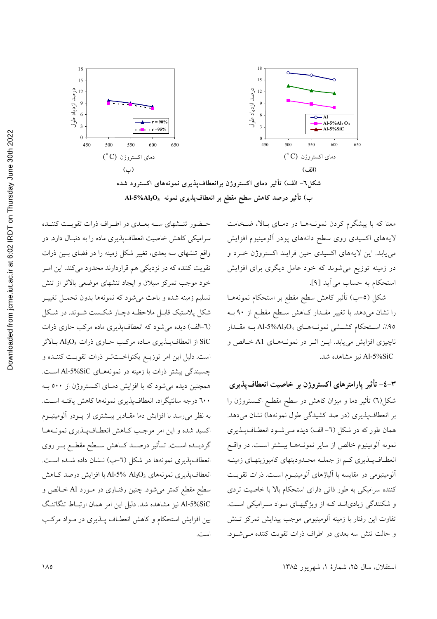

معنا که با پیشگرم کردن نمونـههـا در دمـای بـالا، ضـخامت لايههاى اكسيدى روى سطح دانههاى پودر ألومينيوم افزايش مي يابد. اين لايههاي اكسيدي حين فرايند اكستروژن خـرد و در زمینه توزیع می شوند که خود عامل دیگری برای افزایش استحکام به حساب می آید [۹].

شکل (٥–ب) تأثیر کاهش سطح مقطع بر استحکام نمونههـا را نشان می دهد. با تغییر مقـدار کـاهش سـطح مقطـع از ۹۰ بـه .<br>۹۵٪، استحکام کشــشی نمونــههــای Al-5%Al2O3 بــه مقــدار ناچیزی افزایش می یابد. ایـن اثـر در نمونـههـای A1 خـالص و Al-5%SiC نيز مشاهده شد.

٣–٤– تأثير پارامترهای اکستروژن بر خاصيت انعطافپذيری شکل(٦) تأثیر دما و میزان کاهش در سطح مقطـع اکـستروژن را بر انعطاف پذیری (در صد کشیدگی طول نمونهها) نشان میدهد. همان طور كه در شكل (٦- الف) ديده مـي شـود انعطـافپـذيري نمونه ألومينيوم خالص از ساير نمونـههـا بيــشتر اســت. در واقــع انعطـافپـذیری کـم از جملـه محـدودیتهای کامپوزیتهـای زمینـه آلومینیومی در مقایسه با آلیاژهای آلومینیـوم اسـت. ذرات تقویـت کننده سرامیکی به طور ذاتی دارای استحکام بالا با خاصیت تردی و شکنندگی زیادیانـد کـه از ویژگیهای مـواد سـرامیکی اسـت. تفاوت اين رفتار با زمينه آلومينيومي موجب ييدايش تمركز تـنش و حالت تنش سه بعدي در اطراف ذرات تقويت كننده مى شود.

حـضور تنـشهاى ســه بعــدى در اطـراف ذرات تقويـت كننــده سرامیکی کاهش خاصیت انعطافپذیری ماده را به دنبـال دارد. در واقع تنشهای سه بعدی، تغییر شکل زمینه را در فضای بـین ذرات تقویت کننده که در نزدیکی هم قراردارند محدود میکند. این امـر خود موجب تمرکز سیلان و ایجاد تنشهای موضعی بالاتر از تنش تسليم زمينه شده و باعث مي شود كه نمونهها بدون تحمـل تغييـر شکل پلاستیک قابـل ملاحظـه دچـار شکـست شـوند. در شـکل (٦-الف) دیده می شود که انعطاف پذیری ماده مرکب حاوی ذرات از انعطاف پــذيري مــاده مركـب حــاوي ذرات  $\text{Al}_2\text{O}_3$  بــالاتر SiC است. دلیل این امر توزیــع یکنواخــتتــر ذرات تقویـت کننــده و چسبندگی بیشتر ذرات با زمینه در نمونههای Al-5%SiC است. همچنین دیده میشود که با افزایش دمای اکستروژن از ٥٠٠ به ٦٠٠ درجه سانتيگراد، انعطافيذيري نمونهها كاهش يافتـه اسـت. به نظر می رسد با افزایش دما مقـادیر بیــشتری از پــودر آلومینیــوم اکسید شده و این امر موجب کـاهش انعطـافپـذیری نمونـههـا گردیــده اســت. تــأثیر درصــد کــاهش ســطح مقطــع بــر روی انعطافپذیری نمونهها در شکل (٦-ب) نـشان داده شـده اسـت. انعطاف یذیری نمونههای Al-5% Al2O3 با افزایش درصد کـاهش سطح مقطع کمتر می شود. چنین رفتـاری در مـورد Al خـالص و Al-5%SiC نیز مشاهده شد. دلیل این امر همان ارتبـاط تنگاتنگ بین افزایش استحکام و کاهش انعطـاف پــذیری در مــواد مرکــب است.

استقلال، سال ۲۵، شمارهٔ ۱، شهریور ۱۳۸۵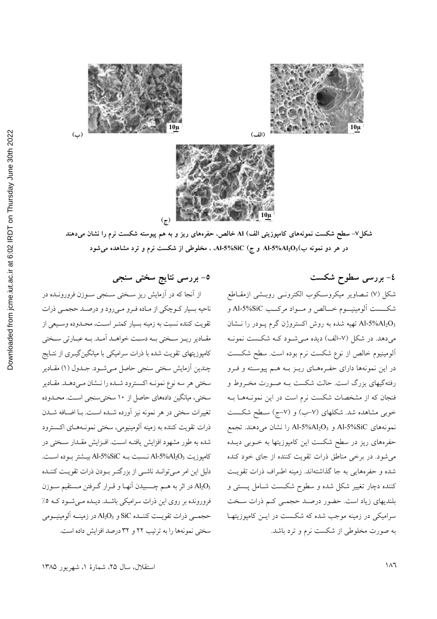





شکل۷– سطح شکست نمونههای کامپوزیتی الف) AI خالص، حفرههای ریز و به هم پیوسته شکست نرم را نشان میدهند در هر دو نمونه ب)Al-5%Al2O3( و ج) Al-5%SiC، ، مخلوطی از شکست نرم و ترد مشاهده میشود

٤- بررسي سطوح شكست

شکل (۷) تــصاویر میکروسـکوب الکترونــی روبــشی ازمقــاطع شکـــست آلومینیـــوم خـــالص و مـــواد مرکـــب Al-5%SiC و Al-5%Al2O3 تهیه شده به روش اکستروژن گرم پـودر را نــشان میدهد. در شکل (۷-الف) دیده مـیشـود کـه شکـست نمونـه الومینیوم خالص از نوع شکست نرم بوده است. سطح شکست در این نمونهها دارای حفـرههـای ریـز بـه هـم پیوسـته و فـرو رفتهگیهای بزرگ است. حالت شکست بـه صـورت مخـروط و فنجان که از مشخصات شکست نرم است در این نمونـههـا بـه خوبی مشاهده شد. شکلهای (۷–ب) و (۷–ج) سـطح شکـست نمونههای Al-5%SiC و Al-5%Al2O<sub>3</sub> را نشان میدهند. تجمع حفرههای ریز در سطح شکست این کامپوزیتها به خـوبی دیــده می شود. در برخی مناطق ذرات تقویت کننده از جای خود کنده شده و حفرههایی به جا گذاشتهاند. زمینه اطـراف ذرات تقویـت کننده دچار تغییر شکل شده و سطوح شکست شـامل پـستی و بلندیهای زیاد است. حضور درصـد حجمـی کـم ذرات سـخت سرامیکی در زمینه موجب شده که شکست در ایــن کامپوزیتهـا به صورت مخلوطی از شکست نرم و ترد باشد.

0- بررسی نتایج سختی سنجی

از آنجا که در آزمایش ریز سـختی سـنجی سـوزن فرورونـده در ناحيه بسيار كـوچكي از مـاده فـرو مـيرود و درصـد حجمـي ذرات تقويت كننده نسبت به زمينه بسيار كمتـر اسـت، محـدوده وسـيعي از مقــادیر ریــز ســختی بــه دســت خواهــد آمــد. بــه عبــارتی ســختی کامپوزیتهای تقویت شده با ذرات سرامیکی با میانگینگیــری از نتــایج چندین آزمایش سختی سنجی حاصل میشود. جلدول (۱) مقـادیر سختی هر سه نوع نمونــه اکـسترود شــده را نــشان مــیدهــد. مقــادیر سختی، میانگین دادههای حاصل از ۱۰ سختیسنجی است. محـدوده تغییرات سختی در هر نمونه نیز آورده شـده اسـت. بـا اضـافه شـدن ذرات تقويت كننده به زمينه آلومينيومي، سختي نمونـههـاي اكـسترود شده به طور مشهود افزایش یافتــه اســت. افــزایش مقــدار ســختی در  $A1-5\%$ Al-5%SiC نـسبت بـه Al-5%SiC بيـشتر بـوده اسـت. دلیل این امر مے توانـد ناشـی از بزرگتـر بـودن ذرات تقویـت کننـده در اثر به هــم چــسبيدن آنهــا و قــرار گــرفتن مــستقيم ســوزن Al2O3 فرورونده بر روی این ذرات سرامیکی باشـد. دیـده مـیشـود کـه ۰٪ حجمــي ذرات تقويــت كننــده SiC و Al2O3 در زمينــه آلومينيــومي سختی نمونهها را به ترتیب ٢٢ و ٣٢ درصد افزایش داده است.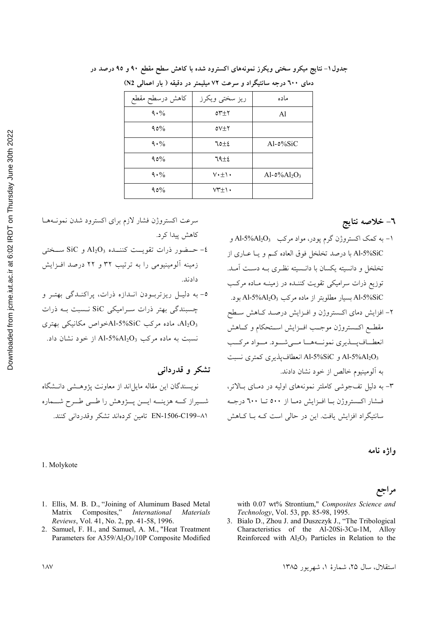| دمای ٦٠٠ درجه سانتیگراد و سرعت ٧٢ میلیمتر در دقیقه ( بار اعمالی N2) |                            |                                               |
|---------------------------------------------------------------------|----------------------------|-----------------------------------------------|
| كاهش درسطح مقطع                                                     | ريز سختي ويكرز             | ماده                                          |
| 9.96                                                                | $0^{\star}$                | Al                                            |
| 90%                                                                 | $0V+Y$                     |                                               |
| 9.9/0                                                               | 70±2                       | $Al-0\%SiC$                                   |
| 90%                                                                 | $19\pm 2$                  |                                               |
| 9.96                                                                | $V \cdot \pm \wedge \cdot$ | Al- $\delta\%$ Al <sub>2</sub> O <sub>3</sub> |
| $90\%$                                                              | $VT\pm 1$ .                |                                               |

جدول۱– نتایج میکرو سختی ویکرز نمونههای اکسترود شده با کاهش سطح مقطع ۹۰ و ۹۵ درصد در

٦– خلاصه نتايج

ا – به کمک اکستروژن گرم یودر، مواد مرکب Al-5%Al2O3 و Al-5%SiC با درصد تخلخل فوق العاده كـم و يــا عــارى از تخلخل و دانسیته یکسان با دانـسیته نظـری بــه دسـت آمــد. توزیع ذرات سرامیکی تقویت کننــده در زمینــه مــاده مرکــب Al-5%SiC بسیار مطلوبتر از ماده مرکب Al-5%Al2O3 بود. ۲– افزایش دمای اکـستروژن و افـزایش درصـد کـاهش سـطح مقطـع اكــستروژن موجـب افــزايش اســتحكام و كــاهش انعطـافپــذيري نمونــههــا مــيشــود. مــواد مركــب و Al-5%SiC و Al-5%SiC انعطاف يذيري كمترى نسبت به آلومینیوم خالص از خود نشان دادند. ۳- به دلیل تفجوشی کاملتر نمونههای اولیه در دمـای بـالاتر، فسشار اکستروژن بــا افــزايش دمــا از ٥٠٠ تــا ٦٠٠ درجــه سانتیگراد افزایش یافت. این در حالی است کـه بـا کـاهش

واژه نامه

## مراجع

with 0.07 wt% Strontium," Composites Science and Technology, Vol. 53, pp. 85-98, 1995.

3. Bialo D., Zhou J. and Duszczyk J., "The Tribological Characteristics of the Al-20Si-3Cu-1M, Alloy Reinforced with  $Al_2O_3$  Particles in Relation to the

International **Materials** 

2. Samuel, F. H., and Samuel, A. M., "Heat Treatment Parameters for A359/Al<sub>2</sub>O<sub>3</sub>/10P Composite Modified

استقلال، سال ۲۵، شمارهٔ ۱، شهریور ۱۳۸۵

1. Ellis, M. B. D., "Joining of Aluminum Based Metal Matrix Composites," Reviews, Vol. 41, No. 2, pp. 41-58, 1996.

سرعت اكستروژن فشار لازم براى اكسترود شدن نمونـههـا

 $\text{SiC}$  - حـضور ذرات تقويــت كننــده  $\text{Al}_2\text{O}_3$  و SiC ســختى

٥- به دليل ريزتربودن اندازه ذرات، پراکنـدگی بهتـر و

چسبندگی بهتر ذرات سرامیکی SiC نـسبت بـه ذرات

41203 ماده مرکب Al-5%SiCمخواص مکانیکی بهتری Al

نسبت به ماده مرکب Al-5%Al2O3 از خود نشان داد.

نویسندگان این مقاله مایل اند از معاونت پژوهـشی دانـشگاه

شمیراز کــه هزینــه ایـــن پـــژوهش را طـــی طـــرح شـــماره

EN-1506-C199-A۱ تامین کردهاند تشکر وقدردانی کنند.

زمینه آلومینیومی را به ترتیب ۳۲ و ۲۲ درصد افزایش

كاهش ييدا كرد.

دادند.

تشکر و قدردانس

1. Molykote